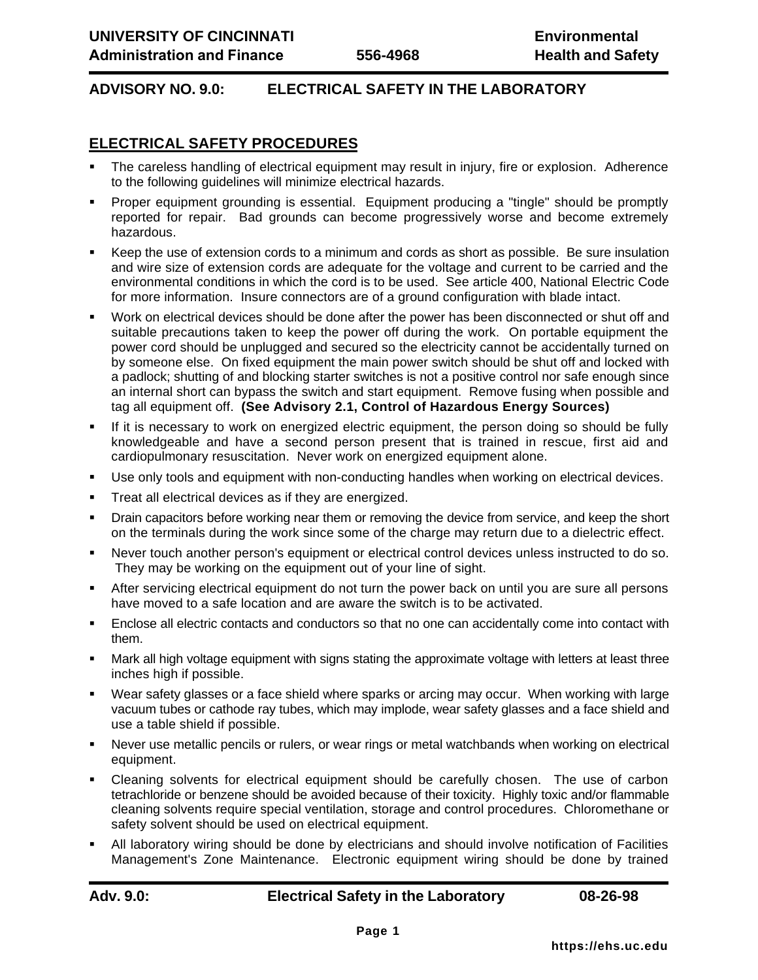## **ADVISORY NO. 9.0: ELECTRICAL SAFETY IN THE LABORATORY**

## **ELECTRICAL SAFETY PROCEDURES**

- ß The careless handling of electrical equipment may result in injury, fire or explosion. Adherence to the following guidelines will minimize electrical hazards.
- ß Proper equipment grounding is essential. Equipment producing a "tingle" should be promptly reported for repair. Bad grounds can become progressively worse and become extremely hazardous.
- ß Keep the use of extension cords to a minimum and cords as short as possible. Be sure insulation and wire size of extension cords are adequate for the voltage and current to be carried and the environmental conditions in which the cord is to be used. See article 400, National Electric Code for more information. Insure connectors are of a ground configuration with blade intact.
- ß Work on electrical devices should be done after the power has been disconnected or shut off and suitable precautions taken to keep the power off during the work. On portable equipment the power cord should be unplugged and secured so the electricity cannot be accidentally turned on by someone else. On fixed equipment the main power switch should be shut off and locked with a padlock; shutting of and blocking starter switches is not a positive control nor safe enough since an internal short can bypass the switch and start equipment. Remove fusing when possible and tag all equipment off. **(See Advisory 2.1, Control of Hazardous Energy Sources)**
- **F** If it is necessary to work on energized electric equipment, the person doing so should be fully knowledgeable and have a second person present that is trained in rescue, first aid and cardiopulmonary resuscitation. Never work on energized equipment alone.
- Use only tools and equipment with non-conducting handles when working on electrical devices.
- ß Treat all electrical devices as if they are energized.
- ß Drain capacitors before working near them or removing the device from service, and keep the short on the terminals during the work since some of the charge may return due to a dielectric effect.
- ß Never touch another person's equipment or electrical control devices unless instructed to do so. They may be working on the equipment out of your line of sight.
- ß After servicing electrical equipment do not turn the power back on until you are sure all persons have moved to a safe location and are aware the switch is to be activated.
- ß Enclose all electric contacts and conductors so that no one can accidentally come into contact with them.
- ß Mark all high voltage equipment with signs stating the approximate voltage with letters at least three inches high if possible.
- ß Wear safety glasses or a face shield where sparks or arcing may occur. When working with large vacuum tubes or cathode ray tubes, which may implode, wear safety glasses and a face shield and use a table shield if possible.
- ß Never use metallic pencils or rulers, or wear rings or metal watchbands when working on electrical equipment.
- ß Cleaning solvents for electrical equipment should be carefully chosen. The use of carbon tetrachloride or benzene should be avoided because of their toxicity. Highly toxic and/or flammable cleaning solvents require special ventilation, storage and control procedures. Chloromethane or safety solvent should be used on electrical equipment.
- ß All laboratory wiring should be done by electricians and should involve notification of Facilities Management's Zone Maintenance. Electronic equipment wiring should be done by trained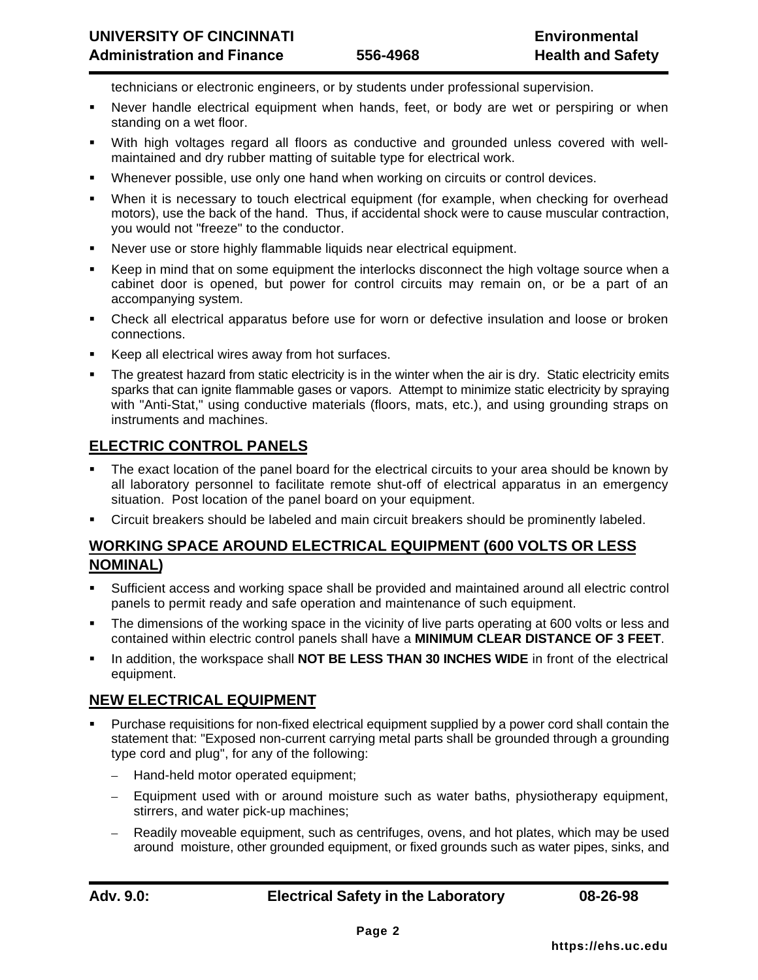technicians or electronic engineers, or by students under professional supervision.

- ß Never handle electrical equipment when hands, feet, or body are wet or perspiring or when standing on a wet floor.
- With high voltages regard all floors as conductive and grounded unless covered with wellmaintained and dry rubber matting of suitable type for electrical work.
- Whenever possible, use only one hand when working on circuits or control devices.
- When it is necessary to touch electrical equipment (for example, when checking for overhead motors), use the back of the hand. Thus, if accidental shock were to cause muscular contraction, you would not "freeze" to the conductor.
- ß Never use or store highly flammable liquids near electrical equipment.
- ß Keep in mind that on some equipment the interlocks disconnect the high voltage source when a cabinet door is opened, but power for control circuits may remain on, or be a part of an accompanying system.
- Check all electrical apparatus before use for worn or defective insulation and loose or broken connections.
- ß Keep all electrical wires away from hot surfaces.
- The greatest hazard from static electricity is in the winter when the air is dry. Static electricity emits sparks that can ignite flammable gases or vapors. Attempt to minimize static electricity by spraying with "Anti-Stat," using conductive materials (floors, mats, etc.), and using grounding straps on instruments and machines.

#### **ELECTRIC CONTROL PANELS**

- ß The exact location of the panel board for the electrical circuits to your area should be known by all laboratory personnel to facilitate remote shut-off of electrical apparatus in an emergency situation. Post location of the panel board on your equipment.
- ß Circuit breakers should be labeled and main circuit breakers should be prominently labeled.

## **WORKING SPACE AROUND ELECTRICAL EQUIPMENT (600 VOLTS OR LESS NOMINAL)**

- ß Sufficient access and working space shall be provided and maintained around all electric control panels to permit ready and safe operation and maintenance of such equipment.
- The dimensions of the working space in the vicinity of live parts operating at 600 volts or less and contained within electric control panels shall have a **MINIMUM CLEAR DISTANCE OF 3 FEET**.
- ß In addition, the workspace shall **NOT BE LESS THAN 30 INCHES WIDE** in front of the electrical equipment.

#### **NEW ELECTRICAL EQUIPMENT**

- ß Purchase requisitions for non-fixed electrical equipment supplied by a power cord shall contain the statement that: "Exposed non-current carrying metal parts shall be grounded through a grounding type cord and plug", for any of the following:
	- Hand-held motor operated equipment;
	- Equipment used with or around moisture such as water baths, physiotherapy equipment, stirrers, and water pick-up machines;
	- Readily moveable equipment, such as centrifuges, ovens, and hot plates, which may be used around moisture, other grounded equipment, or fixed grounds such as water pipes, sinks, and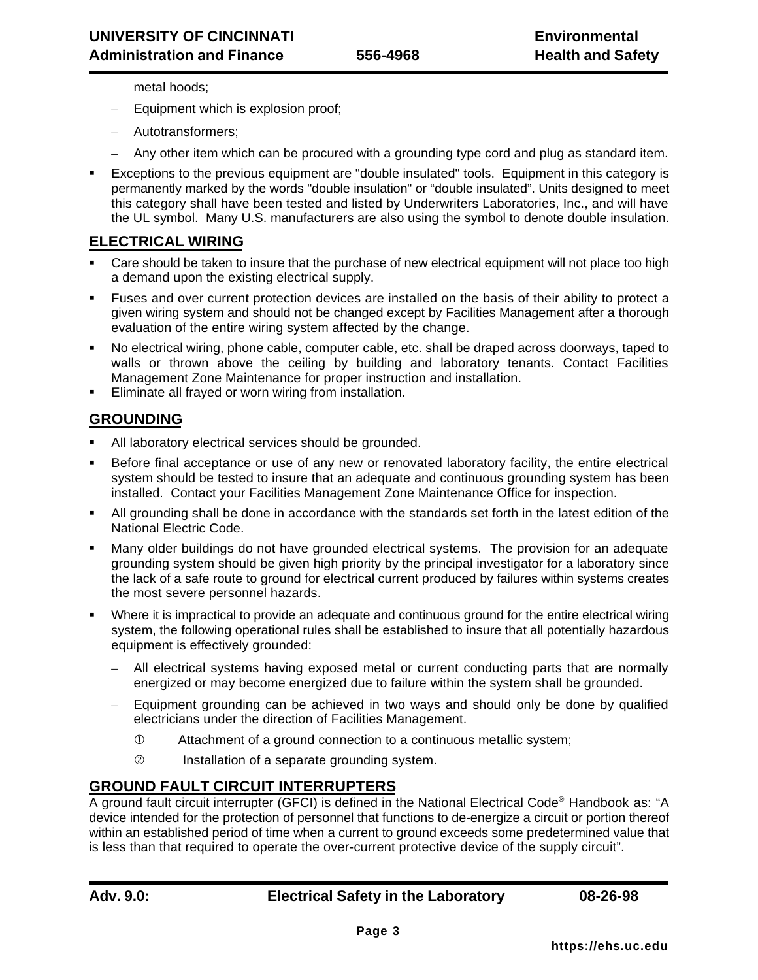metal hoods;

- Equipment which is explosion proof;
- Autotransformers;
- Any other item which can be procured with a grounding type cord and plug as standard item.
- ß Exceptions to the previous equipment are "double insulated" tools. Equipment in this category is permanently marked by the words "double insulation" or "double insulated". Units designed to meet this category shall have been tested and listed by Underwriters Laboratories, Inc., and will have the UL symbol. Many U.S. manufacturers are also using the symbol to denote double insulation.

#### **ELECTRICAL WIRING**

- Care should be taken to insure that the purchase of new electrical equipment will not place too high a demand upon the existing electrical supply.
- ß Fuses and over current protection devices are installed on the basis of their ability to protect a given wiring system and should not be changed except by Facilities Management after a thorough evaluation of the entire wiring system affected by the change.
- ß No electrical wiring, phone cable, computer cable, etc. shall be draped across doorways, taped to walls or thrown above the ceiling by building and laboratory tenants. Contact Facilities Management Zone Maintenance for proper instruction and installation.
- Eliminate all frayed or worn wiring from installation.

## **GROUNDING**

- All laboratory electrical services should be grounded.
- ß Before final acceptance or use of any new or renovated laboratory facility, the entire electrical system should be tested to insure that an adequate and continuous grounding system has been installed. Contact your Facilities Management Zone Maintenance Office for inspection.
- ß All grounding shall be done in accordance with the standards set forth in the latest edition of the National Electric Code.
- ß Many older buildings do not have grounded electrical systems. The provision for an adequate grounding system should be given high priority by the principal investigator for a laboratory since the lack of a safe route to ground for electrical current produced by failures within systems creates the most severe personnel hazards.
- Where it is impractical to provide an adequate and continuous ground for the entire electrical wiring system, the following operational rules shall be established to insure that all potentially hazardous equipment is effectively grounded:
	- All electrical systems having exposed metal or current conducting parts that are normally energized or may become energized due to failure within the system shall be grounded.
	- Equipment grounding can be achieved in two ways and should only be done by qualified electricians under the direction of Facilities Management.
		- Å Attachment of a ground connection to a continuous metallic system;
		- Ç Installation of a separate grounding system.

## **GROUND FAULT CIRCUIT INTERRUPTERS**

A ground fault circuit interrupter (GFCI) is defined in the National Electrical Code® Handbook as: "A device intended for the protection of personnel that functions to de-energize a circuit or portion thereof within an established period of time when a current to ground exceeds some predetermined value that is less than that required to operate the over-current protective device of the supply circuit".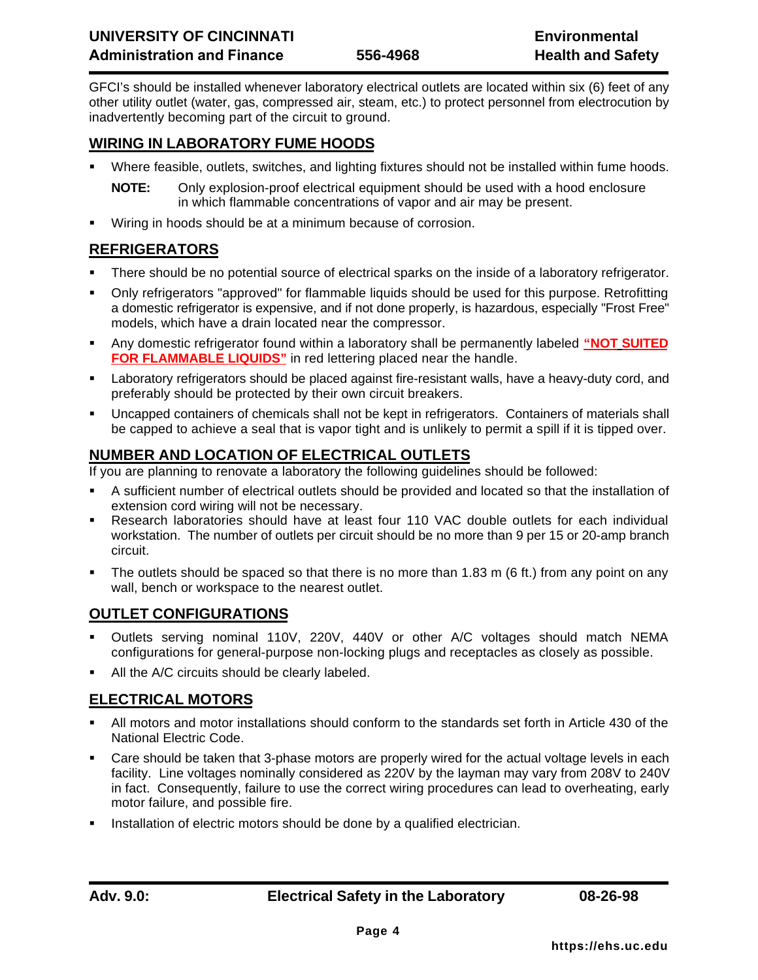GFCI's should be installed whenever laboratory electrical outlets are located within six (6) feet of any other utility outlet (water, gas, compressed air, steam, etc.) to protect personnel from electrocution by inadvertently becoming part of the circuit to ground.

## **WIRING IN LABORATORY FUME HOODS**

ß Where feasible, outlets, switches, and lighting fixtures should not be installed within fume hoods.

**NOTE:** Only explosion-proof electrical equipment should be used with a hood enclosure in which flammable concentrations of vapor and air may be present.

**Wiring in hoods should be at a minimum because of corrosion.** 

# **REFRIGERATORS**

- ß There should be no potential source of electrical sparks on the inside of a laboratory refrigerator.
- ß Only refrigerators "approved" for flammable liquids should be used for this purpose. Retrofitting a domestic refrigerator is expensive, and if not done properly, is hazardous, especially "Frost Free" models, which have a drain located near the compressor.
- Any domestic refrigerator found within a laboratory shall be permanently labeled "NOT SUITED **FOR FLAMMABLE LIQUIDS"** in red lettering placed near the handle.
- ß Laboratory refrigerators should be placed against fire-resistant walls, have a heavy-duty cord, and preferably should be protected by their own circuit breakers.
- ß Uncapped containers of chemicals shall not be kept in refrigerators. Containers of materials shall be capped to achieve a seal that is vapor tight and is unlikely to permit a spill if it is tipped over.

# **NUMBER AND LOCATION OF ELECTRICAL OUTLETS**

If you are planning to renovate a laboratory the following guidelines should be followed:

- **BET A sufficient number of electrical outlets should be provided and located so that the installation of** extension cord wiring will not be necessary.
- ß Research laboratories should have at least four 110 VAC double outlets for each individual workstation. The number of outlets per circuit should be no more than 9 per 15 or 20-amp branch circuit.
- The outlets should be spaced so that there is no more than 1.83 m (6 ft.) from any point on any wall, bench or workspace to the nearest outlet.

## **OUTLET CONFIGURATIONS**

- ß Outlets serving nominal 110V, 220V, 440V or other A/C voltages should match NEMA configurations for general-purpose non-locking plugs and receptacles as closely as possible.
- All the A/C circuits should be clearly labeled.

# **ELECTRICAL MOTORS**

- ß All motors and motor installations should conform to the standards set forth in Article 430 of the National Electric Code.
- ß Care should be taken that 3-phase motors are properly wired for the actual voltage levels in each facility. Line voltages nominally considered as 220V by the layman may vary from 208V to 240V in fact. Consequently, failure to use the correct wiring procedures can lead to overheating, early motor failure, and possible fire.
- ß Installation of electric motors should be done by a qualified electrician.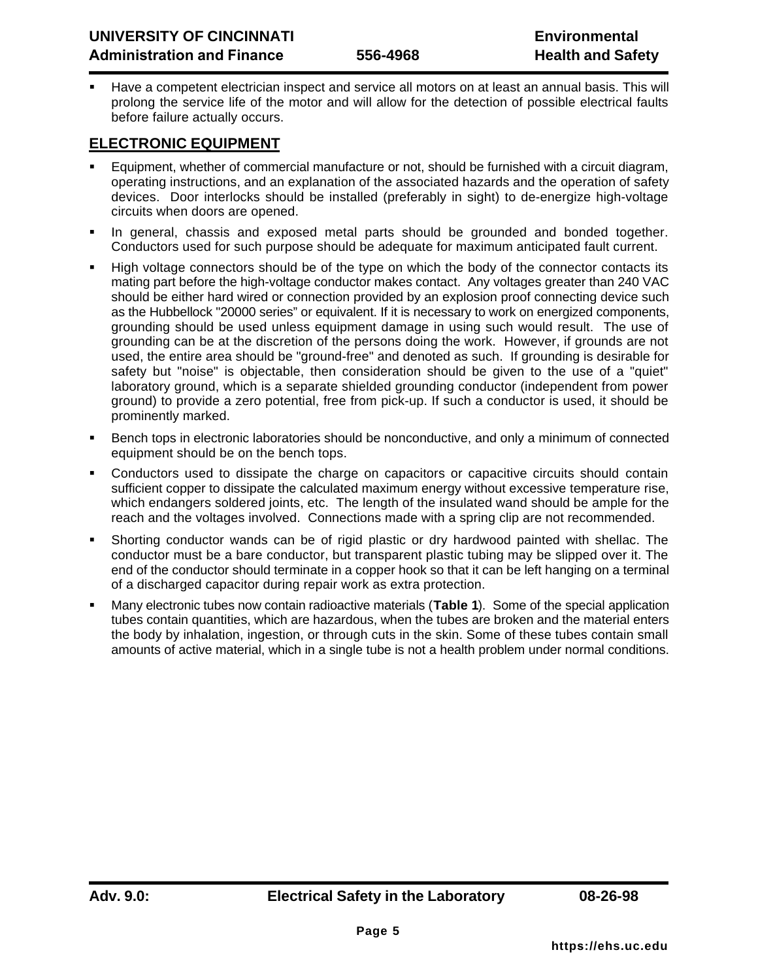ß Have a competent electrician inspect and service all motors on at least an annual basis. This will prolong the service life of the motor and will allow for the detection of possible electrical faults before failure actually occurs.

## **ELECTRONIC EQUIPMENT**

- ß Equipment, whether of commercial manufacture or not, should be furnished with a circuit diagram, operating instructions, and an explanation of the associated hazards and the operation of safety devices. Door interlocks should be installed (preferably in sight) to de-energize high-voltage circuits when doors are opened.
- ß In general, chassis and exposed metal parts should be grounded and bonded together. Conductors used for such purpose should be adequate for maximum anticipated fault current.
- ß High voltage connectors should be of the type on which the body of the connector contacts its mating part before the high-voltage conductor makes contact. Any voltages greater than 240 VAC should be either hard wired or connection provided by an explosion proof connecting device such as the Hubbellock "20000 series" or equivalent. If it is necessary to work on energized components, grounding should be used unless equipment damage in using such would result. The use of grounding can be at the discretion of the persons doing the work. However, if grounds are not used, the entire area should be "ground-free" and denoted as such. If grounding is desirable for safety but "noise" is objectable, then consideration should be given to the use of a "quiet" laboratory ground, which is a separate shielded grounding conductor (independent from power ground) to provide a zero potential, free from pick-up. If such a conductor is used, it should be prominently marked.
- ß Bench tops in electronic laboratories should be nonconductive, and only a minimum of connected equipment should be on the bench tops.
- ß Conductors used to dissipate the charge on capacitors or capacitive circuits should contain sufficient copper to dissipate the calculated maximum energy without excessive temperature rise, which endangers soldered joints, etc. The length of the insulated wand should be ample for the reach and the voltages involved. Connections made with a spring clip are not recommended.
- ß Shorting conductor wands can be of rigid plastic or dry hardwood painted with shellac. The conductor must be a bare conductor, but transparent plastic tubing may be slipped over it. The end of the conductor should terminate in a copper hook so that it can be left hanging on a terminal of a discharged capacitor during repair work as extra protection.
- ß Many electronic tubes now contain radioactive materials (**Table 1**). Some of the special application tubes contain quantities, which are hazardous, when the tubes are broken and the material enters the body by inhalation, ingestion, or through cuts in the skin. Some of these tubes contain small amounts of active material, which in a single tube is not a health problem under normal conditions.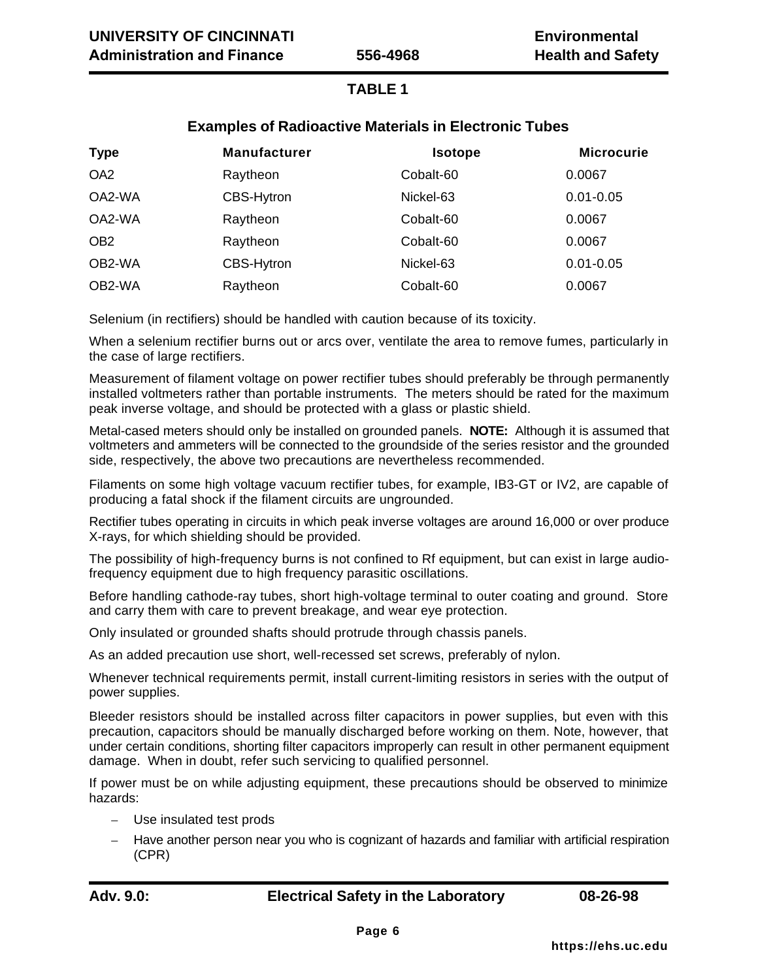## **TABLE 1**

## **Examples of Radioactive Materials in Electronic Tubes**

| <b>Type</b>     | <b>Manufacturer</b> | <b>Isotope</b> | <b>Microcurie</b> |
|-----------------|---------------------|----------------|-------------------|
| OA <sub>2</sub> | Raytheon            | Cobalt-60      | 0.0067            |
| OA2-WA          | <b>CBS-Hytron</b>   | Nickel-63      | $0.01 - 0.05$     |
| OA2-WA          | Raytheon            | Cobalt-60      | 0.0067            |
| OB <sub>2</sub> | Raytheon            | Cobalt-60      | 0.0067            |
| OB2-WA          | <b>CBS-Hytron</b>   | Nickel-63      | $0.01 - 0.05$     |
| OB2-WA          | Raytheon            | Cobalt-60      | 0.0067            |

Selenium (in rectifiers) should be handled with caution because of its toxicity.

When a selenium rectifier burns out or arcs over, ventilate the area to remove fumes, particularly in the case of large rectifiers.

Measurement of filament voltage on power rectifier tubes should preferably be through permanently installed voltmeters rather than portable instruments. The meters should be rated for the maximum peak inverse voltage, and should be protected with a glass or plastic shield.

Metal-cased meters should only be installed on grounded panels. **NOTE:** Although it is assumed that voltmeters and ammeters will be connected to the groundside of the series resistor and the grounded side, respectively, the above two precautions are nevertheless recommended.

Filaments on some high voltage vacuum rectifier tubes, for example, IB3-GT or IV2, are capable of producing a fatal shock if the filament circuits are ungrounded.

Rectifier tubes operating in circuits in which peak inverse voltages are around 16,000 or over produce X-rays, for which shielding should be provided.

The possibility of high-frequency burns is not confined to Rf equipment, but can exist in large audiofrequency equipment due to high frequency parasitic oscillations.

Before handling cathode-ray tubes, short high-voltage terminal to outer coating and ground. Store and carry them with care to prevent breakage, and wear eye protection.

Only insulated or grounded shafts should protrude through chassis panels.

As an added precaution use short, well-recessed set screws, preferably of nylon.

Whenever technical requirements permit, install current-limiting resistors in series with the output of power supplies.

Bleeder resistors should be installed across filter capacitors in power supplies, but even with this precaution, capacitors should be manually discharged before working on them. Note, however, that under certain conditions, shorting filter capacitors improperly can result in other permanent equipment damage. When in doubt, refer such servicing to qualified personnel.

If power must be on while adjusting equipment, these precautions should be observed to minimize hazards:

- Use insulated test prods
- Have another person near you who is cognizant of hazards and familiar with artificial respiration (CPR)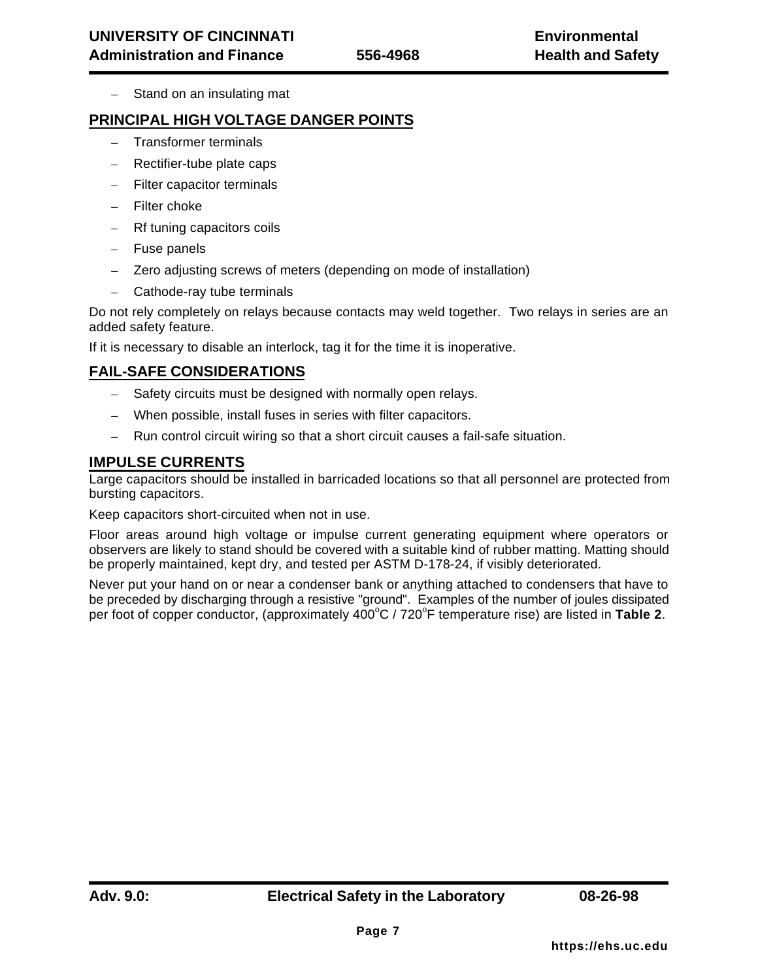– Stand on an insulating mat

#### **PRINCIPAL HIGH VOLTAGE DANGER POINTS**

- Transformer terminals
- Rectifier-tube plate caps
- Filter capacitor terminals
- Filter choke
- Rf tuning capacitors coils
- Fuse panels
- Zero adjusting screws of meters (depending on mode of installation)
- Cathode-ray tube terminals

Do not rely completely on relays because contacts may weld together. Two relays in series are an added safety feature.

If it is necessary to disable an interlock, tag it for the time it is inoperative.

## **FAIL-SAFE CONSIDERATIONS**

- Safety circuits must be designed with normally open relays.
- When possible, install fuses in series with filter capacitors.
- Run control circuit wiring so that a short circuit causes a fail-safe situation.

## **IMPULSE CURRENTS**

Large capacitors should be installed in barricaded locations so that all personnel are protected from bursting capacitors.

Keep capacitors short-circuited when not in use.

Floor areas around high voltage or impulse current generating equipment where operators or observers are likely to stand should be covered with a suitable kind of rubber matting. Matting should be properly maintained, kept dry, and tested per ASTM D-178-24, if visibly deteriorated.

Never put your hand on or near a condenser bank or anything attached to condensers that have to be preceded by discharging through a resistive "ground". Examples of the number of joules dissipated per foot of copper conductor, (approximately 400°C / 720°F temperature rise) are listed in Table 2.